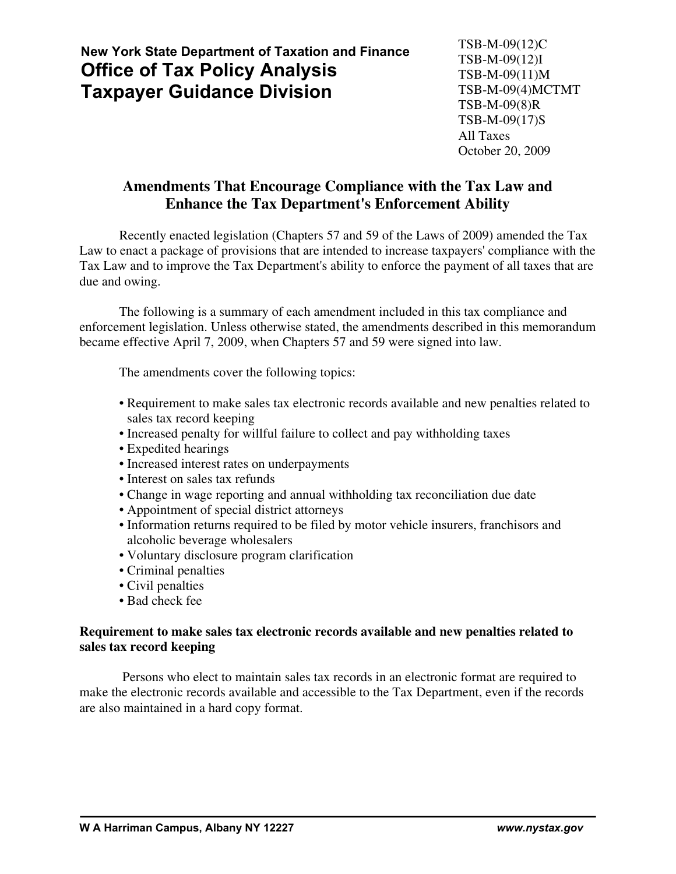# **New York State Department of Taxation and Finance Office of Tax Policy Analysis Taxpayer Guidance Division**

# **Amendments That Encourage Compliance with the Tax Law and Enhance the Tax Department's Enforcement Ability**

Recently enacted legislation (Chapters 57 and 59 of the Laws of 2009) amended the Tax Law to enact a package of provisions that are intended to increase taxpayers' compliance with the Tax Law and to improve the Tax Department's ability to enforce the payment of all taxes that are due and owing.

The following is a summary of each amendment included in this tax compliance and enforcement legislation. Unless otherwise stated, the amendments described in this memorandum became effective April 7, 2009, when Chapters 57 and 59 were signed into law.

The amendments cover the following topics:

- Requirement to make sales tax electronic records available and new penalties related to sales tax record keeping
- Increased penalty for willful failure to collect and pay withholding taxes
- Expedited hearings
- Increased interest rates on underpayments
- Interest on sales tax refunds
- Change in wage reporting and annual withholding tax reconciliation due date
- Appointment of special district attorneys
- Information returns required to be filed by motor vehicle insurers, franchisors and alcoholic beverage wholesalers
- Voluntary disclosure program clarification
- Criminal penalties
- Civil penalties
- Bad check fee

# **Requirement to make sales tax electronic records available and new penalties related to sales tax record keeping**

 Persons who elect to maintain sales tax records in an electronic format are required to make the electronic records available and accessible to the Tax Department, even if the records are also maintained in a hard copy format.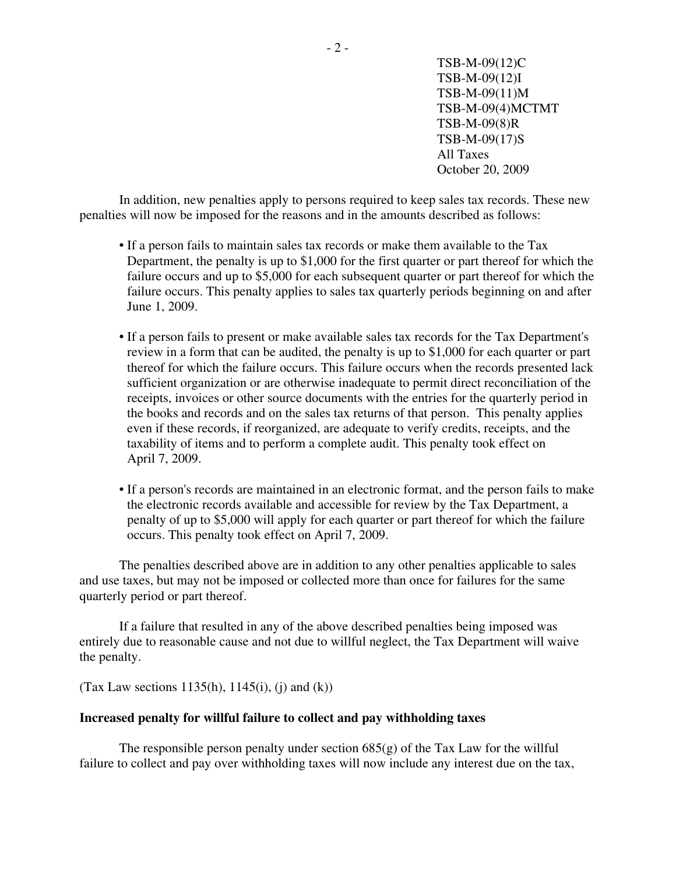In addition, new penalties apply to persons required to keep sales tax records. These new penalties will now be imposed for the reasons and in the amounts described as follows:

- If a person fails to maintain sales tax records or make them available to the Tax Department, the penalty is up to \$1,000 for the first quarter or part thereof for which the failure occurs and up to \$5,000 for each subsequent quarter or part thereof for which the failure occurs. This penalty applies to sales tax quarterly periods beginning on and after June 1, 2009.
- If a person fails to present or make available sales tax records for the Tax Department's review in a form that can be audited, the penalty is up to \$1,000 for each quarter or part thereof for which the failure occurs. This failure occurs when the records presented lack sufficient organization or are otherwise inadequate to permit direct reconciliation of the receipts, invoices or other source documents with the entries for the quarterly period in the books and records and on the sales tax returns of that person. This penalty applies even if these records, if reorganized, are adequate to verify credits, receipts, and the taxability of items and to perform a complete audit. This penalty took effect on April 7, 2009.
- If a person's records are maintained in an electronic format, and the person fails to make the electronic records available and accessible for review by the Tax Department, a penalty of up to \$5,000 will apply for each quarter or part thereof for which the failure occurs. This penalty took effect on April 7, 2009.

The penalties described above are in addition to any other penalties applicable to sales and use taxes, but may not be imposed or collected more than once for failures for the same quarterly period or part thereof.

If a failure that resulted in any of the above described penalties being imposed was entirely due to reasonable cause and not due to willful neglect, the Tax Department will waive the penalty.

(Tax Law sections 1135(h), 1145(i), (j) and (k))

#### **Increased penalty for willful failure to collect and pay withholding taxes**

The responsible person penalty under section  $685(g)$  of the Tax Law for the willful failure to collect and pay over withholding taxes will now include any interest due on the tax,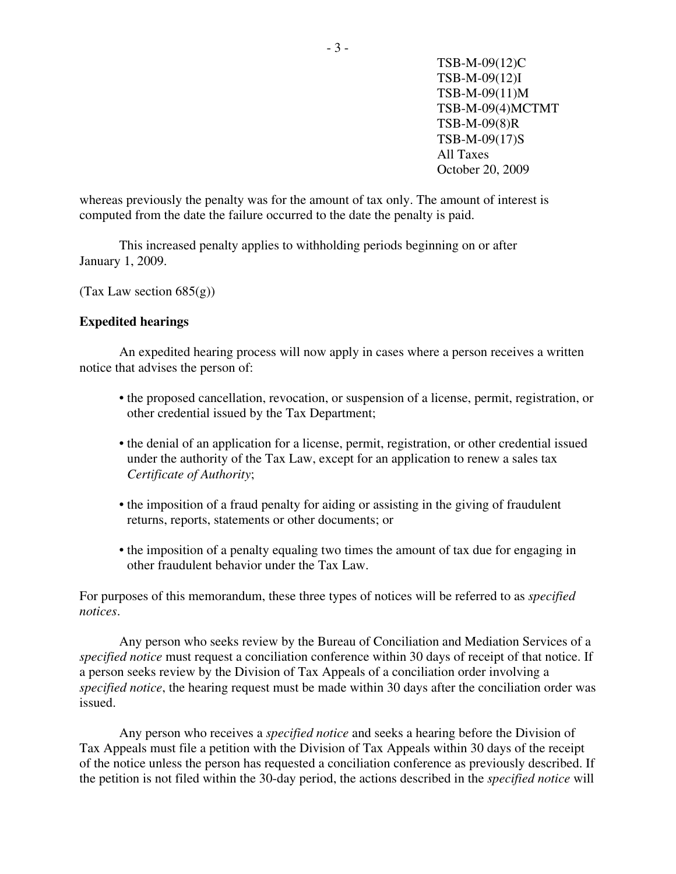whereas previously the penalty was for the amount of tax only. The amount of interest is computed from the date the failure occurred to the date the penalty is paid.

This increased penalty applies to withholding periods beginning on or after January 1, 2009.

(Tax Law section  $685(g)$ )

# **Expedited hearings**

An expedited hearing process will now apply in cases where a person receives a written notice that advises the person of:

- the proposed cancellation, revocation, or suspension of a license, permit, registration, or other credential issued by the Tax Department;
- the denial of an application for a license, permit, registration, or other credential issued under the authority of the Tax Law, except for an application to renew a sales tax *Certificate of Authority*;
- the imposition of a fraud penalty for aiding or assisting in the giving of fraudulent returns, reports, statements or other documents; or
- the imposition of a penalty equaling two times the amount of tax due for engaging in other fraudulent behavior under the Tax Law.

For purposes of this memorandum, these three types of notices will be referred to as *specified notices*.

Any person who seeks review by the Bureau of Conciliation and Mediation Services of a *specified notice* must request a conciliation conference within 30 days of receipt of that notice. If a person seeks review by the Division of Tax Appeals of a conciliation order involving a *specified notice*, the hearing request must be made within 30 days after the conciliation order was issued.

Any person who receives a *specified notice* and seeks a hearing before the Division of Tax Appeals must file a petition with the Division of Tax Appeals within 30 days of the receipt of the notice unless the person has requested a conciliation conference as previously described. If the petition is not filed within the 30-day period, the actions described in the *specified notice* will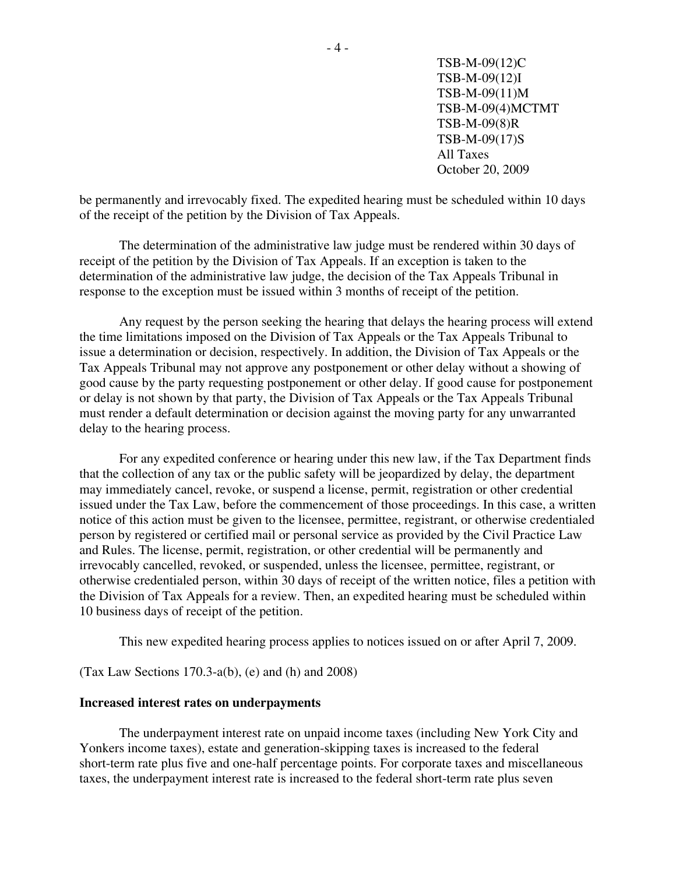be permanently and irrevocably fixed. The expedited hearing must be scheduled within 10 days of the receipt of the petition by the Division of Tax Appeals.

The determination of the administrative law judge must be rendered within 30 days of receipt of the petition by the Division of Tax Appeals. If an exception is taken to the determination of the administrative law judge, the decision of the Tax Appeals Tribunal in response to the exception must be issued within 3 months of receipt of the petition.

Any request by the person seeking the hearing that delays the hearing process will extend the time limitations imposed on the Division of Tax Appeals or the Tax Appeals Tribunal to issue a determination or decision, respectively. In addition, the Division of Tax Appeals or the Tax Appeals Tribunal may not approve any postponement or other delay without a showing of good cause by the party requesting postponement or other delay. If good cause for postponement or delay is not shown by that party, the Division of Tax Appeals or the Tax Appeals Tribunal must render a default determination or decision against the moving party for any unwarranted delay to the hearing process.

For any expedited conference or hearing under this new law, if the Tax Department finds that the collection of any tax or the public safety will be jeopardized by delay, the department may immediately cancel, revoke, or suspend a license, permit, registration or other credential issued under the Tax Law, before the commencement of those proceedings. In this case, a written notice of this action must be given to the licensee, permittee, registrant, or otherwise credentialed person by registered or certified mail or personal service as provided by the Civil Practice Law and Rules. The license, permit, registration, or other credential will be permanently and irrevocably cancelled, revoked, or suspended, unless the licensee, permittee, registrant, or otherwise credentialed person, within 30 days of receipt of the written notice, files a petition with the Division of Tax Appeals for a review. Then, an expedited hearing must be scheduled within 10 business days of receipt of the petition.

This new expedited hearing process applies to notices issued on or after April 7, 2009.

(Tax Law Sections 170.3-a(b), (e) and (h) and 2008)

#### **Increased interest rates on underpayments**

The underpayment interest rate on unpaid income taxes (including New York City and Yonkers income taxes), estate and generation-skipping taxes is increased to the federal short-term rate plus five and one-half percentage points. For corporate taxes and miscellaneous taxes, the underpayment interest rate is increased to the federal short-term rate plus seven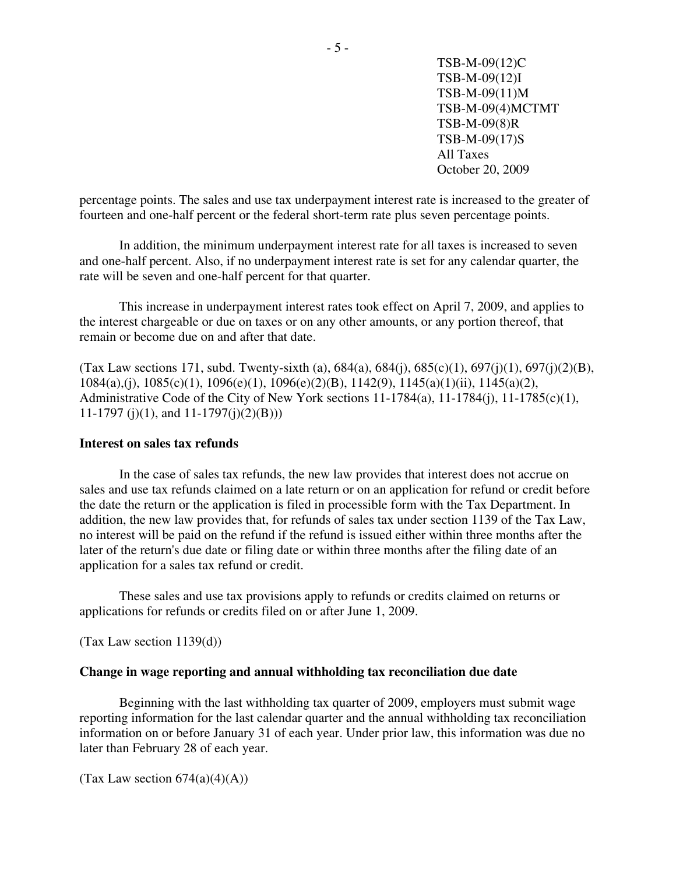percentage points. The sales and use tax underpayment interest rate is increased to the greater of fourteen and one-half percent or the federal short-term rate plus seven percentage points.

In addition, the minimum underpayment interest rate for all taxes is increased to seven and one-half percent. Also, if no underpayment interest rate is set for any calendar quarter, the rate will be seven and one-half percent for that quarter.

This increase in underpayment interest rates took effect on April 7, 2009, and applies to the interest chargeable or due on taxes or on any other amounts, or any portion thereof, that remain or become due on and after that date.

(Tax Law sections 171, subd. Twenty-sixth (a),  $684(a)$ ,  $684(i)$ ,  $685(c)(1)$ ,  $697(i)(1)$ ,  $697(i)(2)(B)$ , 1084(a),(j), 1085(c)(1), 1096(e)(1), 1096(e)(2)(B), 1142(9), 1145(a)(1)(ii), 1145(a)(2), Administrative Code of the City of New York sections 11-1784(a), 11-1784(j), 11-1785(c)(1), 11-1797 (j)(1), and  $11-1797$ (j)(2)(B)))

#### **Interest on sales tax refunds**

In the case of sales tax refunds, the new law provides that interest does not accrue on sales and use tax refunds claimed on a late return or on an application for refund or credit before the date the return or the application is filed in processible form with the Tax Department. In addition, the new law provides that, for refunds of sales tax under section 1139 of the Tax Law, no interest will be paid on the refund if the refund is issued either within three months after the later of the return's due date or filing date or within three months after the filing date of an application for a sales tax refund or credit.

These sales and use tax provisions apply to refunds or credits claimed on returns or applications for refunds or credits filed on or after June 1, 2009.

(Tax Law section 1139(d))

#### **Change in wage reporting and annual withholding tax reconciliation due date**

Beginning with the last withholding tax quarter of 2009, employers must submit wage reporting information for the last calendar quarter and the annual withholding tax reconciliation information on or before January 31 of each year. Under prior law, this information was due no later than February 28 of each year.

(Tax Law section  $674(a)(4)(A)$ )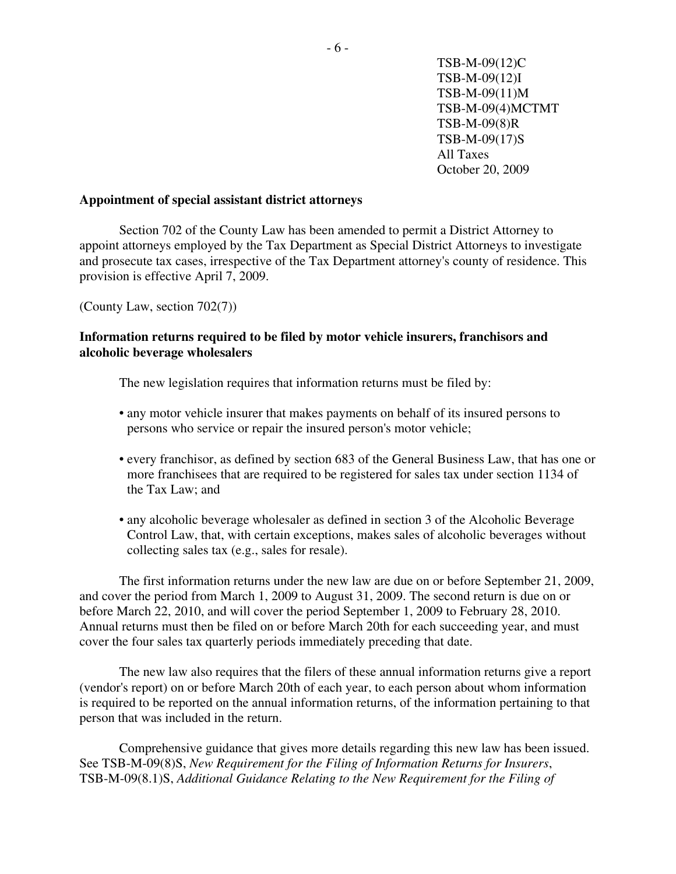## **Appointment of special assistant district attorneys**

Section 702 of the County Law has been amended to permit a District Attorney to appoint attorneys employed by the Tax Department as Special District Attorneys to investigate and prosecute tax cases, irrespective of the Tax Department attorney's county of residence. This provision is effective April 7, 2009.

(County Law, section 702(7))

# **Information returns required to be filed by motor vehicle insurers, franchisors and alcoholic beverage wholesalers**

The new legislation requires that information returns must be filed by:

- any motor vehicle insurer that makes payments on behalf of its insured persons to persons who service or repair the insured person's motor vehicle;
- every franchisor, as defined by section 683 of the General Business Law, that has one or more franchisees that are required to be registered for sales tax under section 1134 of the Tax Law; and
- any alcoholic beverage wholesaler as defined in section 3 of the Alcoholic Beverage Control Law, that, with certain exceptions, makes sales of alcoholic beverages without collecting sales tax (e.g., sales for resale).

The first information returns under the new law are due on or before September 21, 2009, and cover the period from March 1, 2009 to August 31, 2009. The second return is due on or before March 22, 2010, and will cover the period September 1, 2009 to February 28, 2010. Annual returns must then be filed on or before March 20th for each succeeding year, and must cover the four sales tax quarterly periods immediately preceding that date.

The new law also requires that the filers of these annual information returns give a report (vendor's report) on or before March 20th of each year, to each person about whom information is required to be reported on the annual information returns, of the information pertaining to that person that was included in the return.

Comprehensive guidance that gives more details regarding this new law has been issued. See TSB-M-09(8)S, *New Requirement for the Filing of Information Returns for Insurers*, TSB-M-09(8.1)S, *Additional Guidance Relating to the New Requirement for the Filing of*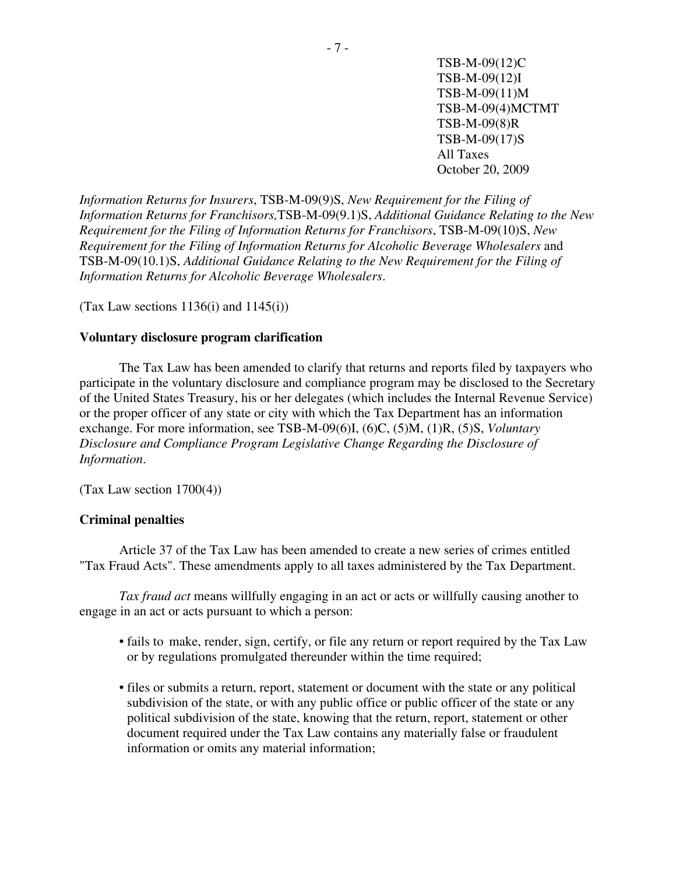*Information Returns for Insurers*, TSB-M-09(9)S, *New Requirement for the Filing of Information Returns for Franchisors,*TSB-M-09(9.1)S, *Additional Guidance Relating to the New Requirement for the Filing of Information Returns for Franchisors*, TSB-M-09(10)S, *New Requirement for the Filing of Information Returns for Alcoholic Beverage Wholesalers* and TSB-M-09(10.1)S, *Additional Guidance Relating to the New Requirement for the Filing of Information Returns for Alcoholic Beverage Wholesalers*.

(Tax Law sections  $1136(i)$  and  $1145(i)$ )

#### **Voluntary disclosure program clarification**

The Tax Law has been amended to clarify that returns and reports filed by taxpayers who participate in the voluntary disclosure and compliance program may be disclosed to the Secretary of the United States Treasury, his or her delegates (which includes the Internal Revenue Service) or the proper officer of any state or city with which the Tax Department has an information exchange. For more information, see TSB-M-09(6)I, (6)C, (5)M, (1)R, (5)S, *Voluntary Disclosure and Compliance Program Legislative Change Regarding the Disclosure of Information*.

 $(Tax Law section 1700(4))$ 

# **Criminal penalties**

Article 37 of the Tax Law has been amended to create a new series of crimes entitled "Tax Fraud Acts". These amendments apply to all taxes administered by the Tax Department.

*Tax fraud act* means willfully engaging in an act or acts or willfully causing another to engage in an act or acts pursuant to which a person:

- fails to make, render, sign, certify, or file any return or report required by the Tax Law or by regulations promulgated thereunder within the time required;
- files or submits a return, report, statement or document with the state or any political subdivision of the state, or with any public office or public officer of the state or any political subdivision of the state, knowing that the return, report, statement or other document required under the Tax Law contains any materially false or fraudulent information or omits any material information;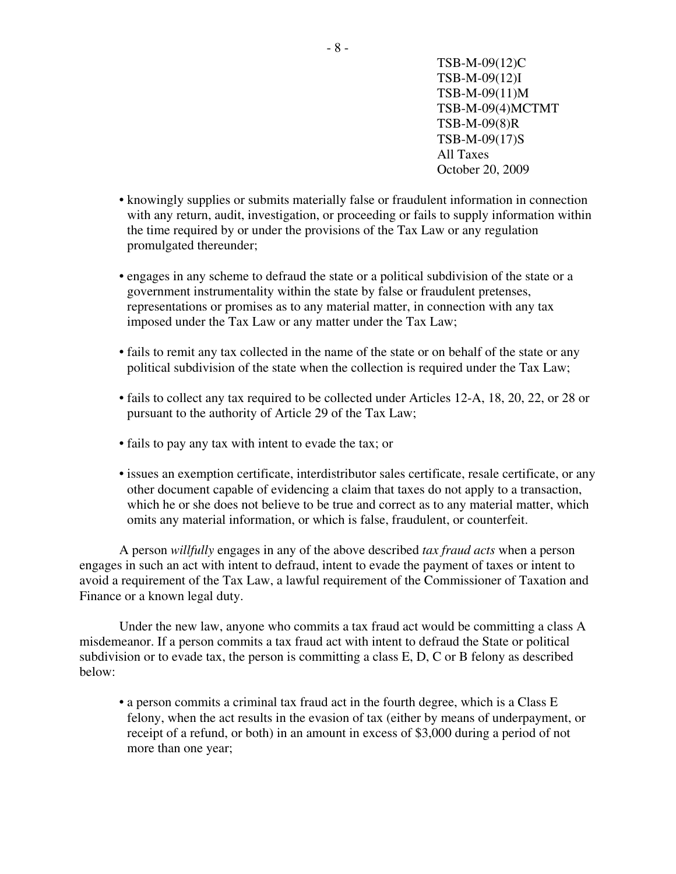- knowingly supplies or submits materially false or fraudulent information in connection with any return, audit, investigation, or proceeding or fails to supply information within the time required by or under the provisions of the Tax Law or any regulation promulgated thereunder;
- engages in any scheme to defraud the state or a political subdivision of the state or a government instrumentality within the state by false or fraudulent pretenses, representations or promises as to any material matter, in connection with any tax imposed under the Tax Law or any matter under the Tax Law;
- fails to remit any tax collected in the name of the state or on behalf of the state or any political subdivision of the state when the collection is required under the Tax Law;
- fails to collect any tax required to be collected under Articles 12-A, 18, 20, 22, or 28 or pursuant to the authority of Article 29 of the Tax Law;
- fails to pay any tax with intent to evade the tax; or
- issues an exemption certificate, interdistributor sales certificate, resale certificate, or any other document capable of evidencing a claim that taxes do not apply to a transaction, which he or she does not believe to be true and correct as to any material matter, which omits any material information, or which is false, fraudulent, or counterfeit.

 A person *willfully* engages in any of the above described *tax fraud acts* when a person engages in such an act with intent to defraud, intent to evade the payment of taxes or intent to avoid a requirement of the Tax Law, a lawful requirement of the Commissioner of Taxation and Finance or a known legal duty.

Under the new law, anyone who commits a tax fraud act would be committing a class A misdemeanor. If a person commits a tax fraud act with intent to defraud the State or political subdivision or to evade tax, the person is committing a class E, D, C or B felony as described below:

• a person commits a criminal tax fraud act in the fourth degree, which is a Class E felony, when the act results in the evasion of tax (either by means of underpayment, or receipt of a refund, or both) in an amount in excess of \$3,000 during a period of not more than one year;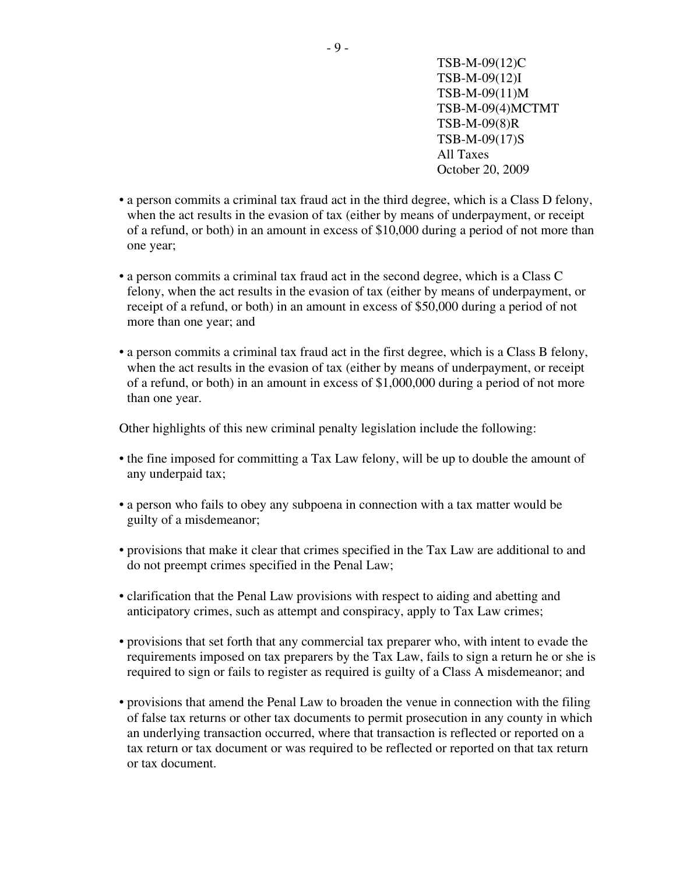- a person commits a criminal tax fraud act in the third degree, which is a Class D felony, when the act results in the evasion of tax (either by means of underpayment, or receipt of a refund, or both) in an amount in excess of \$10,000 during a period of not more than one year;
- a person commits a criminal tax fraud act in the second degree, which is a Class C felony, when the act results in the evasion of tax (either by means of underpayment, or receipt of a refund, or both) in an amount in excess of \$50,000 during a period of not more than one year; and
- a person commits a criminal tax fraud act in the first degree, which is a Class B felony, when the act results in the evasion of tax (either by means of underpayment, or receipt of a refund, or both) in an amount in excess of \$1,000,000 during a period of not more than one year.

Other highlights of this new criminal penalty legislation include the following:

- the fine imposed for committing a Tax Law felony, will be up to double the amount of any underpaid tax;
- a person who fails to obey any subpoena in connection with a tax matter would be guilty of a misdemeanor;
- provisions that make it clear that crimes specified in the Tax Law are additional to and do not preempt crimes specified in the Penal Law;
- clarification that the Penal Law provisions with respect to aiding and abetting and anticipatory crimes, such as attempt and conspiracy, apply to Tax Law crimes;
- provisions that set forth that any commercial tax preparer who, with intent to evade the requirements imposed on tax preparers by the Tax Law, fails to sign a return he or she is required to sign or fails to register as required is guilty of a Class A misdemeanor; and
- provisions that amend the Penal Law to broaden the venue in connection with the filing of false tax returns or other tax documents to permit prosecution in any county in which an underlying transaction occurred, where that transaction is reflected or reported on a tax return or tax document or was required to be reflected or reported on that tax return or tax document.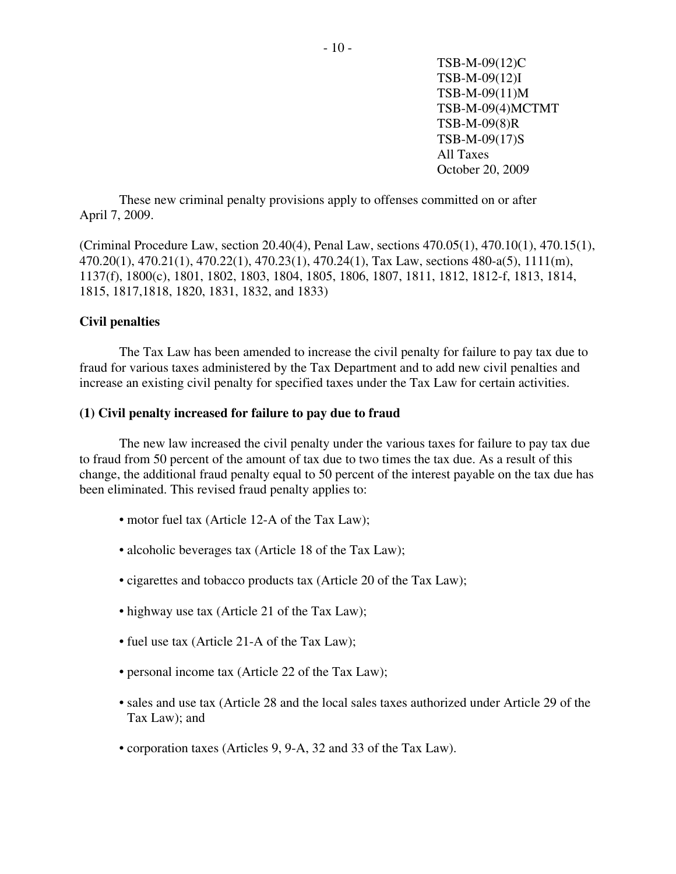These new criminal penalty provisions apply to offenses committed on or after April 7, 2009.

(Criminal Procedure Law, section 20.40(4), Penal Law, sections 470.05(1), 470.10(1), 470.15(1), 470.20(1), 470.21(1), 470.22(1), 470.23(1), 470.24(1), Tax Law, sections 480-a(5), 1111(m), 1137(f), 1800(c), 1801, 1802, 1803, 1804, 1805, 1806, 1807, 1811, 1812, 1812-f, 1813, 1814, 1815, 1817,1818, 1820, 1831, 1832, and 1833)

## **Civil penalties**

The Tax Law has been amended to increase the civil penalty for failure to pay tax due to fraud for various taxes administered by the Tax Department and to add new civil penalties and increase an existing civil penalty for specified taxes under the Tax Law for certain activities.

## **(1) Civil penalty increased for failure to pay due to fraud**

The new law increased the civil penalty under the various taxes for failure to pay tax due to fraud from 50 percent of the amount of tax due to two times the tax due. As a result of this change, the additional fraud penalty equal to 50 percent of the interest payable on the tax due has been eliminated. This revised fraud penalty applies to:

- motor fuel tax (Article 12-A of the Tax Law);
- alcoholic beverages tax (Article 18 of the Tax Law);
- cigarettes and tobacco products tax (Article 20 of the Tax Law);
- highway use tax (Article 21 of the Tax Law);
- fuel use tax (Article 21-A of the Tax Law);
- personal income tax (Article 22 of the Tax Law);
- sales and use tax (Article 28 and the local sales taxes authorized under Article 29 of the Tax Law); and
- corporation taxes (Articles 9, 9-A, 32 and 33 of the Tax Law).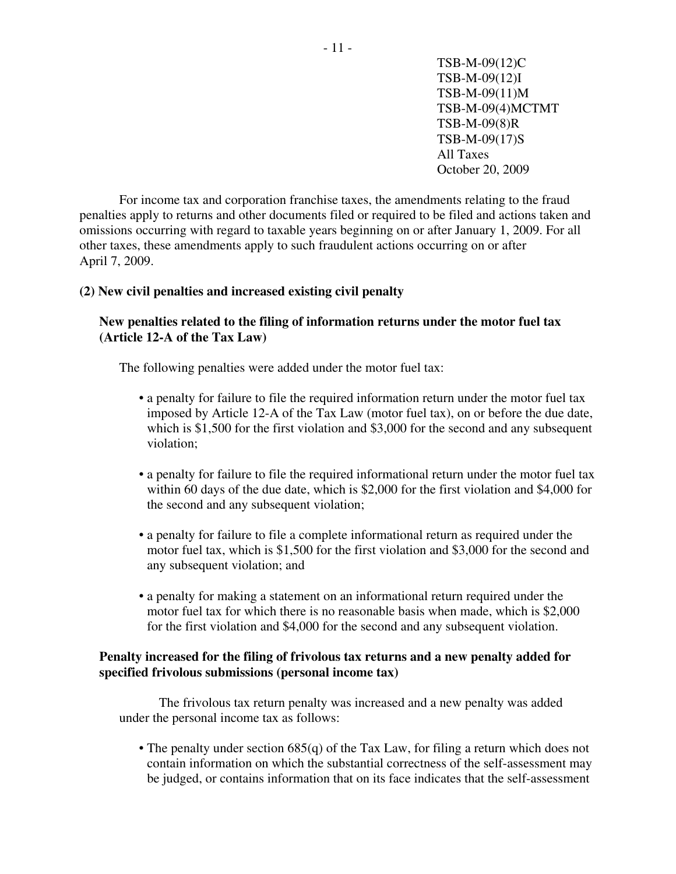For income tax and corporation franchise taxes, the amendments relating to the fraud penalties apply to returns and other documents filed or required to be filed and actions taken and omissions occurring with regard to taxable years beginning on or after January 1, 2009. For all other taxes, these amendments apply to such fraudulent actions occurring on or after April 7, 2009.

# **(2) New civil penalties and increased existing civil penalty**

# **New penalties related to the filing of information returns under the motor fuel tax (Article 12-A of the Tax Law)**

The following penalties were added under the motor fuel tax:

- a penalty for failure to file the required information return under the motor fuel tax imposed by Article 12-A of the Tax Law (motor fuel tax), on or before the due date, which is \$1,500 for the first violation and \$3,000 for the second and any subsequent violation;
- a penalty for failure to file the required informational return under the motor fuel tax within 60 days of the due date, which is \$2,000 for the first violation and \$4,000 for the second and any subsequent violation;
- a penalty for failure to file a complete informational return as required under the motor fuel tax, which is \$1,500 for the first violation and \$3,000 for the second and any subsequent violation; and
- a penalty for making a statement on an informational return required under the motor fuel tax for which there is no reasonable basis when made, which is \$2,000 for the first violation and \$4,000 for the second and any subsequent violation.

# **Penalty increased for the filing of frivolous tax returns and a new penalty added for specified frivolous submissions (personal income tax)**

The frivolous tax return penalty was increased and a new penalty was added under the personal income tax as follows:

• The penalty under section 685(q) of the Tax Law, for filing a return which does not contain information on which the substantial correctness of the self-assessment may be judged, or contains information that on its face indicates that the self-assessment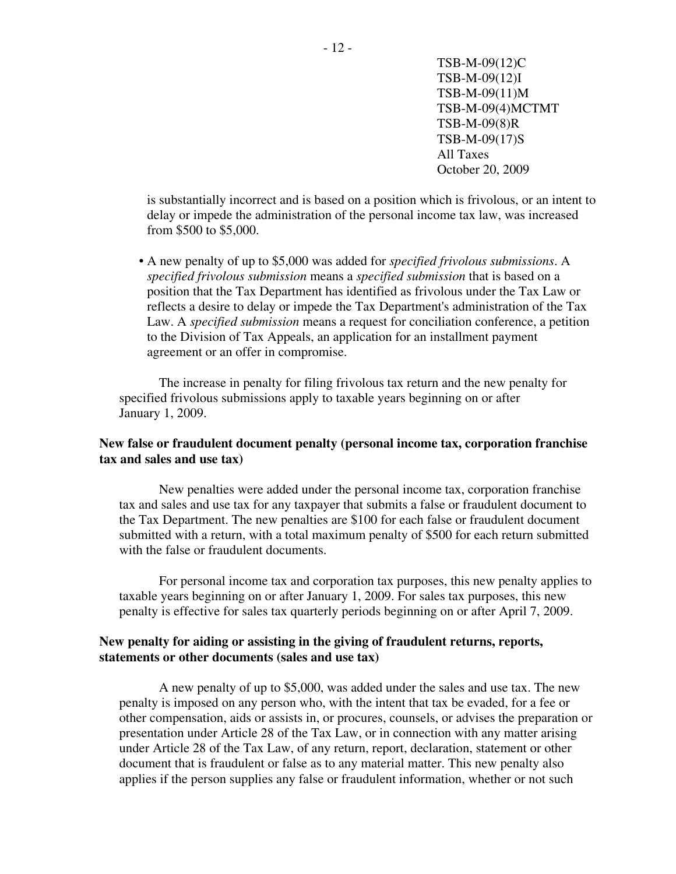> is substantially incorrect and is based on a position which is frivolous, or an intent to delay or impede the administration of the personal income tax law, was increased from \$500 to \$5,000.

• A new penalty of up to \$5,000 was added for *specified frivolous submissions*. A *specified frivolous submission* means a *specified submission* that is based on a position that the Tax Department has identified as frivolous under the Tax Law or reflects a desire to delay or impede the Tax Department's administration of the Tax Law. A *specified submission* means a request for conciliation conference, a petition to the Division of Tax Appeals, an application for an installment payment agreement or an offer in compromise.

The increase in penalty for filing frivolous tax return and the new penalty for specified frivolous submissions apply to taxable years beginning on or after January 1, 2009.

# **New false or fraudulent document penalty (personal income tax, corporation franchise tax and sales and use tax)**

New penalties were added under the personal income tax, corporation franchise tax and sales and use tax for any taxpayer that submits a false or fraudulent document to the Tax Department. The new penalties are \$100 for each false or fraudulent document submitted with a return, with a total maximum penalty of \$500 for each return submitted with the false or fraudulent documents.

For personal income tax and corporation tax purposes, this new penalty applies to taxable years beginning on or after January 1, 2009. For sales tax purposes, this new penalty is effective for sales tax quarterly periods beginning on or after April 7, 2009.

# **New penalty for aiding or assisting in the giving of fraudulent returns, reports, statements or other documents (sales and use tax)**

A new penalty of up to \$5,000, was added under the sales and use tax. The new penalty is imposed on any person who, with the intent that tax be evaded, for a fee or other compensation, aids or assists in, or procures, counsels, or advises the preparation or presentation under Article 28 of the Tax Law, or in connection with any matter arising under Article 28 of the Tax Law, of any return, report, declaration, statement or other document that is fraudulent or false as to any material matter. This new penalty also applies if the person supplies any false or fraudulent information, whether or not such